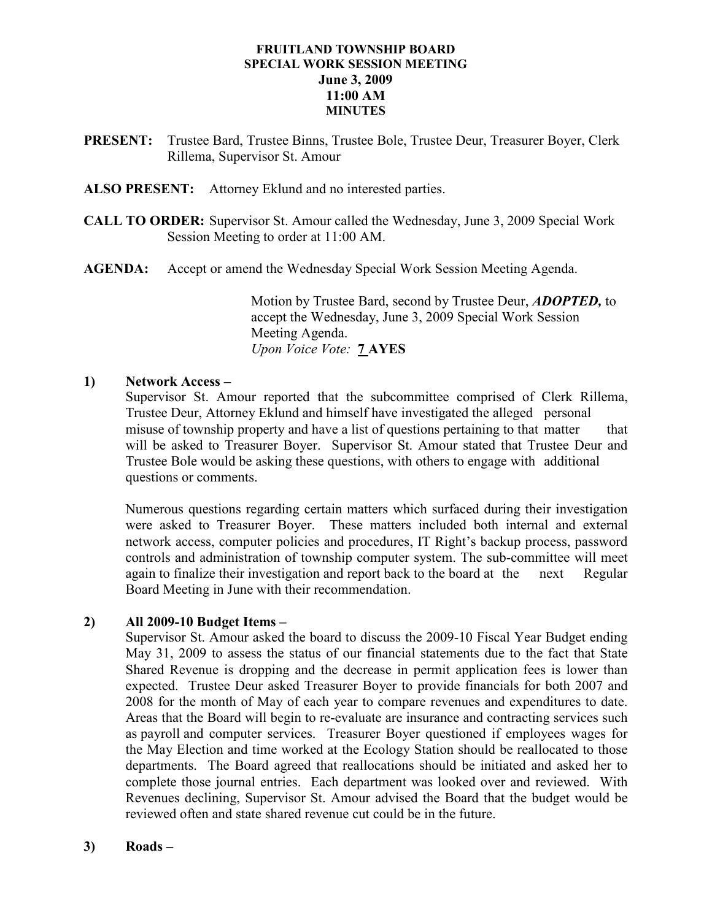## FRUITLAND TOWNSHIP BOARD SPECIAL WORK SESSION MEETING June 3, 2009 11:00 AM MINUTES

- PRESENT: Trustee Bard, Trustee Binns, Trustee Bole, Trustee Deur, Treasurer Boyer, Clerk Rillema, Supervisor St. Amour
- ALSO PRESENT: Attorney Eklund and no interested parties.
- CALL TO ORDER: Supervisor St. Amour called the Wednesday, June 3, 2009 Special Work Session Meeting to order at 11:00 AM.
- AGENDA: Accept or amend the Wednesday Special Work Session Meeting Agenda.

Motion by Trustee Bard, second by Trustee Deur, **ADOPTED**, to accept the Wednesday, June 3, 2009 Special Work Session Meeting Agenda. Upon Voice Vote: 7 AYES

## 1) Network Access –

Supervisor St. Amour reported that the subcommittee comprised of Clerk Rillema, Trustee Deur, Attorney Eklund and himself have investigated the alleged personal misuse of township property and have a list of questions pertaining to that matter that will be asked to Treasurer Boyer. Supervisor St. Amour stated that Trustee Deur and Trustee Bole would be asking these questions, with others to engage with additional questions or comments.

 Numerous questions regarding certain matters which surfaced during their investigation were asked to Treasurer Boyer. These matters included both internal and external network access, computer policies and procedures, IT Right's backup process, password controls and administration of township computer system. The sub-committee will meet again to finalize their investigation and report back to the board at the next Regular Board Meeting in June with their recommendation.

## 2) All 2009-10 Budget Items –

 Supervisor St. Amour asked the board to discuss the 2009-10 Fiscal Year Budget ending May 31, 2009 to assess the status of our financial statements due to the fact that State Shared Revenue is dropping and the decrease in permit application fees is lower than expected. Trustee Deur asked Treasurer Boyer to provide financials for both 2007 and 2008 for the month of May of each year to compare revenues and expenditures to date. Areas that the Board will begin to re-evaluate are insurance and contracting services such as payroll and computer services. Treasurer Boyer questioned if employees wages for the May Election and time worked at the Ecology Station should be reallocated to those departments. The Board agreed that reallocations should be initiated and asked her to complete those journal entries. Each department was looked over and reviewed. With Revenues declining, Supervisor St. Amour advised the Board that the budget would be reviewed often and state shared revenue cut could be in the future.

3) Roads –